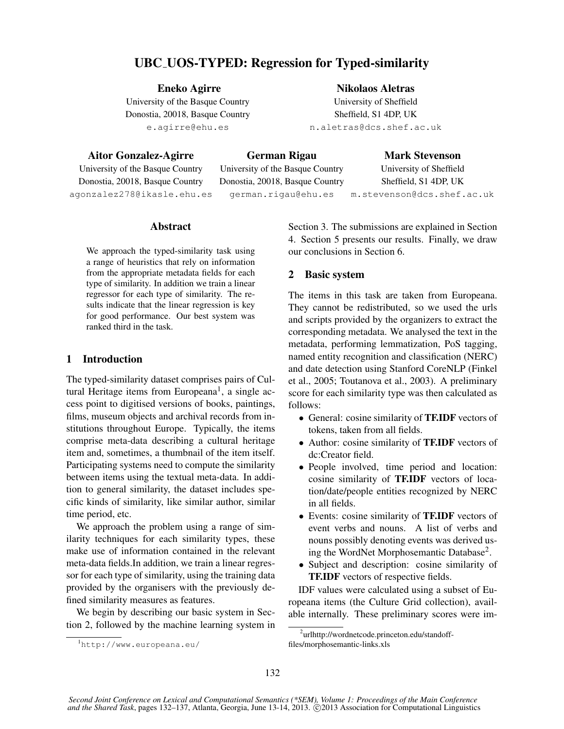# UBC UOS-TYPED: Regression for Typed-similarity

Eneko Agirre

University of the Basque Country Donostia, 20018, Basque Country e.agirre@ehu.es

Aitor Gonzalez-Agirre University of the Basque Country German Rigau

Mark Stevenson University of Sheffield

Donostia, 20018, Basque Country agonzalez278@ikasle.ehu.es

University of the Basque Country Donostia, 20018, Basque Country german.rigau@ehu.es

Sheffield, S1 4DP, UK m.stevenson@dcs.shef.ac.uk

# Abstract

We approach the typed-similarity task using a range of heuristics that rely on information from the appropriate metadata fields for each type of similarity. In addition we train a linear regressor for each type of similarity. The results indicate that the linear regression is key for good performance. Our best system was ranked third in the task.

### 1 Introduction

The typed-similarity dataset comprises pairs of Cultural Heritage items from Europeana<sup>1</sup>, a single access point to digitised versions of books, paintings, films, museum objects and archival records from institutions throughout Europe. Typically, the items comprise meta-data describing a cultural heritage item and, sometimes, a thumbnail of the item itself. Participating systems need to compute the similarity between items using the textual meta-data. In addition to general similarity, the dataset includes specific kinds of similarity, like similar author, similar time period, etc.

We approach the problem using a range of similarity techniques for each similarity types, these make use of information contained in the relevant meta-data fields.In addition, we train a linear regressor for each type of similarity, using the training data provided by the organisers with the previously defined similarity measures as features.

We begin by describing our basic system in Section 2, followed by the machine learning system in Section 3. The submissions are explained in Section 4. Section 5 presents our results. Finally, we draw our conclusions in Section 6.

Nikolaos Aletras University of Sheffield Sheffield, S1 4DP, UK n.aletras@dcs.shef.ac.uk

# 2 Basic system

The items in this task are taken from Europeana. They cannot be redistributed, so we used the urls and scripts provided by the organizers to extract the corresponding metadata. We analysed the text in the metadata, performing lemmatization, PoS tagging, named entity recognition and classification (NERC) and date detection using Stanford CoreNLP (Finkel et al., 2005; Toutanova et al., 2003). A preliminary score for each similarity type was then calculated as follows:

- General: cosine similarity of **TF.IDF** vectors of tokens, taken from all fields.
- Author: cosine similarity of **TF.IDF** vectors of dc:Creator field.
- People involved, time period and location: cosine similarity of TF.IDF vectors of location/date/people entities recognized by NERC in all fields.
- Events: cosine similarity of TF.IDF vectors of event verbs and nouns. A list of verbs and nouns possibly denoting events was derived using the WordNet Morphosemantic Database<sup>2</sup>.
- Subject and description: cosine similarity of TF.IDF vectors of respective fields.

IDF values were calculated using a subset of Europeana items (the Culture Grid collection), available internally. These preliminary scores were im-

<sup>1</sup>http://www.europeana.eu/

<sup>2</sup> urlhttp://wordnetcode.princeton.edu/standofffiles/morphosemantic-links.xls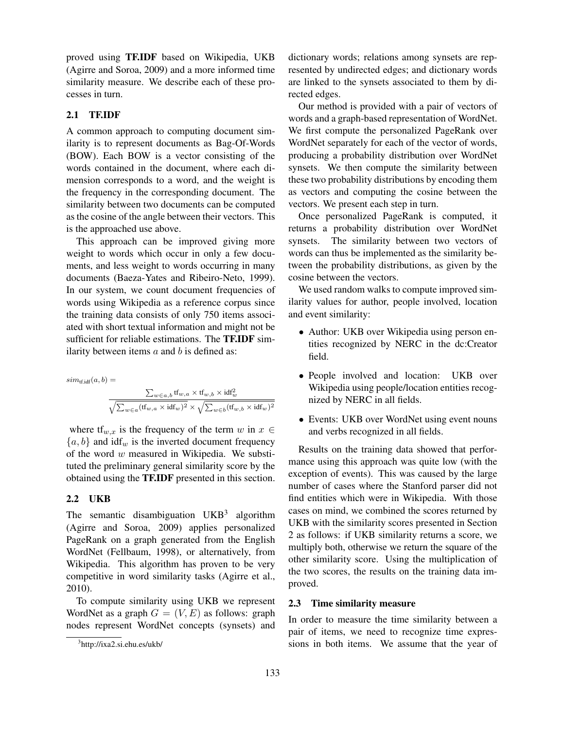proved using TF.IDF based on Wikipedia, UKB (Agirre and Soroa, 2009) and a more informed time similarity measure. We describe each of these processes in turn.

### 2.1 TF.IDF

A common approach to computing document similarity is to represent documents as Bag-Of-Words (BOW). Each BOW is a vector consisting of the words contained in the document, where each dimension corresponds to a word, and the weight is the frequency in the corresponding document. The similarity between two documents can be computed as the cosine of the angle between their vectors. This is the approached use above.

This approach can be improved giving more weight to words which occur in only a few documents, and less weight to words occurring in many documents (Baeza-Yates and Ribeiro-Neto, 1999). In our system, we count document frequencies of words using Wikipedia as a reference corpus since the training data consists of only 750 items associated with short textual information and might not be sufficient for reliable estimations. The TF.IDF similarity between items  $a$  and  $b$  is defined as:

$$
sim_{\text{tfidf}}(a, b) = \frac{\sum_{w \in a, b} \text{tf}_{w, a} \times \text{tf}_{w, b} \times \text{idf}_w^2}{\sqrt{\sum_{w \in a} (\text{ff}_{w, a} \times \text{idf}_w)^2} \times \sqrt{\sum_{w \in b} (\text{tf}_{w, b} \times \text{idf}_w)^2}}
$$

where  $tf_{w,x}$  is the frequency of the term w in  $x \in$  ${a, b}$  and  $\text{idf}_w$  is the inverted document frequency of the word  $w$  measured in Wikipedia. We substituted the preliminary general similarity score by the obtained using the TF.IDF presented in this section.

### 2.2 UKB

The semantic disambiguation  $UKB<sup>3</sup>$  algorithm (Agirre and Soroa, 2009) applies personalized PageRank on a graph generated from the English WordNet (Fellbaum, 1998), or alternatively, from Wikipedia. This algorithm has proven to be very competitive in word similarity tasks (Agirre et al., 2010).

To compute similarity using UKB we represent WordNet as a graph  $G = (V, E)$  as follows: graph nodes represent WordNet concepts (synsets) and

dictionary words; relations among synsets are represented by undirected edges; and dictionary words are linked to the synsets associated to them by directed edges.

Our method is provided with a pair of vectors of words and a graph-based representation of WordNet. We first compute the personalized PageRank over WordNet separately for each of the vector of words, producing a probability distribution over WordNet synsets. We then compute the similarity between these two probability distributions by encoding them as vectors and computing the cosine between the vectors. We present each step in turn.

Once personalized PageRank is computed, it returns a probability distribution over WordNet synsets. The similarity between two vectors of words can thus be implemented as the similarity between the probability distributions, as given by the cosine between the vectors.

We used random walks to compute improved similarity values for author, people involved, location and event similarity:

- Author: UKB over Wikipedia using person entities recognized by NERC in the dc:Creator field.
- People involved and location: UKB over Wikipedia using people/location entities recognized by NERC in all fields.
- Events: UKB over WordNet using event nouns and verbs recognized in all fields.

Results on the training data showed that performance using this approach was quite low (with the exception of events). This was caused by the large number of cases where the Stanford parser did not find entities which were in Wikipedia. With those cases on mind, we combined the scores returned by UKB with the similarity scores presented in Section 2 as follows: if UKB similarity returns a score, we multiply both, otherwise we return the square of the other similarity score. Using the multiplication of the two scores, the results on the training data improved.

#### 2.3 Time similarity measure

In order to measure the time similarity between a pair of items, we need to recognize time expressions in both items. We assume that the year of

<sup>&</sup>lt;sup>3</sup>http://ixa2.si.ehu.es/ukb/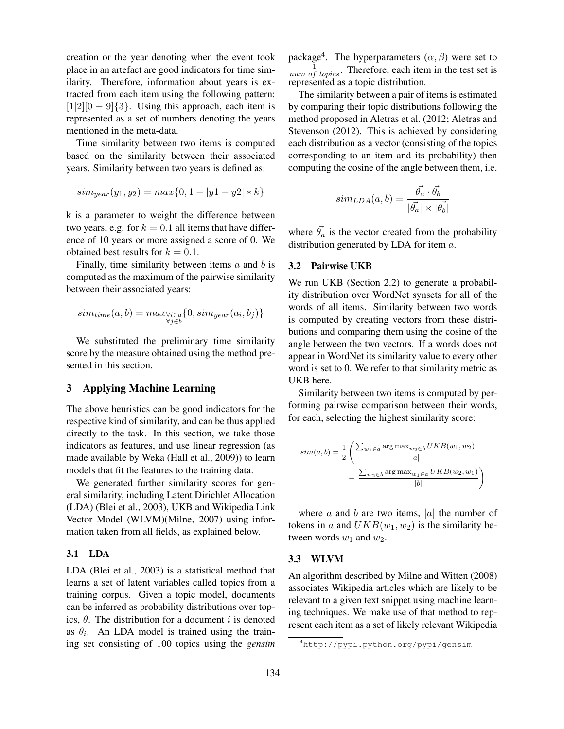creation or the year denoting when the event took place in an artefact are good indicators for time similarity. Therefore, information about years is extracted from each item using the following pattern:  $[1|2][0 - 9]\{3\}$ . Using this approach, each item is represented as a set of numbers denoting the years mentioned in the meta-data.

Time similarity between two items is computed based on the similarity between their associated years. Similarity between two years is defined as:

$$
sim_{year}(y_1, y_2) = max\{0, 1 - |y1 - y2| * k\}
$$

k is a parameter to weight the difference between two years, e.g. for  $k = 0.1$  all items that have difference of 10 years or more assigned a score of 0. We obtained best results for  $k = 0.1$ .

Finally, time similarity between items  $a$  and  $b$  is computed as the maximum of the pairwise similarity between their associated years:

$$
sim_{time}(a,b) = max_{\substack{\forall i \in a \\ \forall j \in b}} \{0, sim_{year}(a_i, b_j)\}
$$

We substituted the preliminary time similarity score by the measure obtained using the method presented in this section.

### 3 Applying Machine Learning

The above heuristics can be good indicators for the respective kind of similarity, and can be thus applied directly to the task. In this section, we take those indicators as features, and use linear regression (as made available by Weka (Hall et al., 2009)) to learn models that fit the features to the training data.

We generated further similarity scores for general similarity, including Latent Dirichlet Allocation (LDA) (Blei et al., 2003), UKB and Wikipedia Link Vector Model (WLVM)(Milne, 2007) using information taken from all fields, as explained below.

### 3.1 LDA

LDA (Blei et al., 2003) is a statistical method that learns a set of latent variables called topics from a training corpus. Given a topic model, documents can be inferred as probability distributions over topics,  $\theta$ . The distribution for a document i is denoted as  $\theta_i$ . An LDA model is trained using the training set consisting of 100 topics using the *gensim*

package<sup>4</sup>. The hyperparameters  $(\alpha, \beta)$  were set to  $\frac{1}{num\_of\_topics}$ . Therefore, each item in the test set is represented as a topic distribution.

The similarity between a pair of items is estimated by comparing their topic distributions following the method proposed in Aletras et al. (2012; Aletras and Stevenson (2012). This is achieved by considering each distribution as a vector (consisting of the topics corresponding to an item and its probability) then computing the cosine of the angle between them, i.e.

$$
sim_{LDA}(a,b) = \frac{\vec{\theta_a} \cdot \vec{\theta_b}}{|\vec{\theta_a}| \times |\vec{\theta_b}|}
$$

where  $\vec{\theta_a}$  is the vector created from the probability distribution generated by LDA for item a.

#### 3.2 Pairwise UKB

We run UKB (Section 2.2) to generate a probability distribution over WordNet synsets for all of the words of all items. Similarity between two words is computed by creating vectors from these distributions and comparing them using the cosine of the angle between the two vectors. If a words does not appear in WordNet its similarity value to every other word is set to 0. We refer to that similarity metric as UKB here.

Similarity between two items is computed by performing pairwise comparison between their words, for each, selecting the highest similarity score:

$$
sim(a,b) = \frac{1}{2} \left( \frac{\sum_{w_1 \in a} \arg \max_{w_2 \in b} UKB(w_1, w_2)}{|a|} + \frac{\sum_{w_2 \in b} \arg \max_{w_1 \in a} UKB(w_2, w_1)}{|b|} \right)
$$

where  $a$  and  $b$  are two items, |a| the number of tokens in a and  $UKB(w_1, w_2)$  is the similarity between words  $w_1$  and  $w_2$ .

#### 3.3 WLVM

An algorithm described by Milne and Witten (2008) associates Wikipedia articles which are likely to be relevant to a given text snippet using machine learning techniques. We make use of that method to represent each item as a set of likely relevant Wikipedia

<sup>4</sup>http://pypi.python.org/pypi/gensim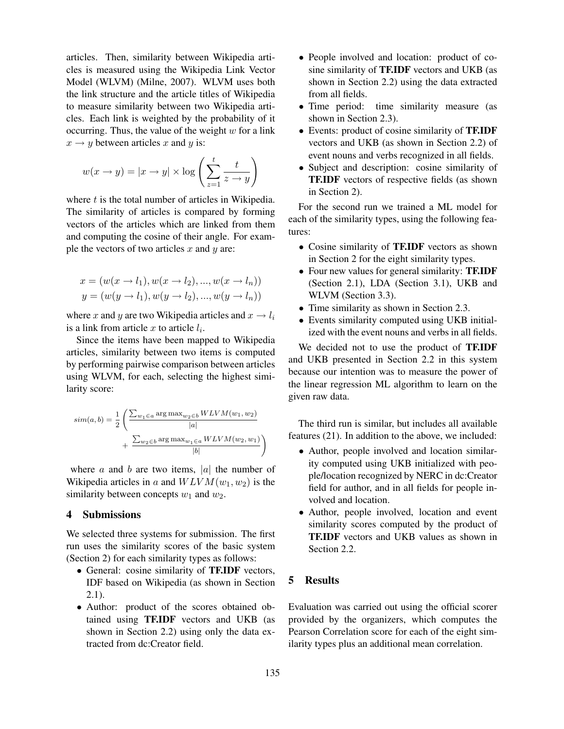articles. Then, similarity between Wikipedia articles is measured using the Wikipedia Link Vector Model (WLVM) (Milne, 2007). WLVM uses both the link structure and the article titles of Wikipedia to measure similarity between two Wikipedia articles. Each link is weighted by the probability of it occurring. Thus, the value of the weight  $w$  for a link  $x \rightarrow y$  between articles x and y is:

$$
w(x \to y) = |x \to y| \times \log\left(\sum_{z=1}^{t} \frac{t}{z \to y}\right)
$$

where  $t$  is the total number of articles in Wikipedia. The similarity of articles is compared by forming vectors of the articles which are linked from them and computing the cosine of their angle. For example the vectors of two articles  $x$  and  $y$  are:

$$
x = (w(x \to l_1), w(x \to l_2), ..., w(x \to l_n))
$$
  

$$
y = (w(y \to l_1), w(y \to l_2), ..., w(y \to l_n))
$$

where x and y are two Wikipedia articles and  $x \rightarrow l_i$ is a link from article  $x$  to article  $l_i$ .

Since the items have been mapped to Wikipedia articles, similarity between two items is computed by performing pairwise comparison between articles using WLVM, for each, selecting the highest similarity score:

$$
sim(a,b) = \frac{1}{2} \left( \frac{\sum_{w_1 \in a} \arg \max_{w_2 \in b} WLVM(w_1, w_2)}{|a|} + \frac{\sum_{w_2 \in b} \arg \max_{w_1 \in a} WLVM(w_2, w_1)}{|b|} \right)
$$

where  $a$  and  $b$  are two items, |a| the number of Wikipedia articles in a and  $W LVM(w_1, w_2)$  is the similarity between concepts  $w_1$  and  $w_2$ .

### 4 Submissions

We selected three systems for submission. The first run uses the similarity scores of the basic system (Section 2) for each similarity types as follows:

- General: cosine similarity of TF.IDF vectors, IDF based on Wikipedia (as shown in Section 2.1).
- Author: product of the scores obtained obtained using TF.IDF vectors and UKB (as shown in Section 2.2) using only the data extracted from dc:Creator field.
- People involved and location: product of cosine similarity of TF.IDF vectors and UKB (as shown in Section 2.2) using the data extracted from all fields.
- Time period: time similarity measure (as shown in Section 2.3).
- Events: product of cosine similarity of TF.IDF vectors and UKB (as shown in Section 2.2) of event nouns and verbs recognized in all fields.
- Subject and description: cosine similarity of TF.IDF vectors of respective fields (as shown in Section 2).

For the second run we trained a ML model for each of the similarity types, using the following features:

- Cosine similarity of **TF.IDF** vectors as shown in Section 2 for the eight similarity types.
- Four new values for general similarity: **TF.IDF** (Section 2.1), LDA (Section 3.1), UKB and WLVM (Section 3.3).
- Time similarity as shown in Section 2.3.
- Events similarity computed using UKB initialized with the event nouns and verbs in all fields.

We decided not to use the product of TF.IDF and UKB presented in Section 2.2 in this system because our intention was to measure the power of the linear regression ML algorithm to learn on the given raw data.

The third run is similar, but includes all available features (21). In addition to the above, we included:

- Author, people involved and location similarity computed using UKB initialized with people/location recognized by NERC in dc:Creator field for author, and in all fields for people involved and location.
- Author, people involved, location and event similarity scores computed by the product of TF.IDF vectors and UKB values as shown in Section 2.2.

# 5 Results

Evaluation was carried out using the official scorer provided by the organizers, which computes the Pearson Correlation score for each of the eight similarity types plus an additional mean correlation.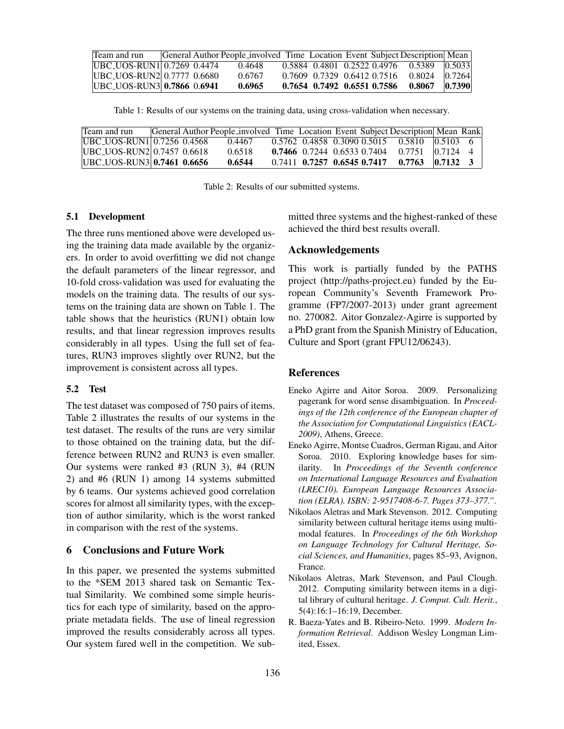| Team and run                       |  | General Author People_involved Time Location Event Subject Description Mean |                             |  |                                                         |        |
|------------------------------------|--|-----------------------------------------------------------------------------|-----------------------------|--|---------------------------------------------------------|--------|
| <b>IUBC_UOS-RUN1</b> 0.7269 0.4474 |  | 0.4648                                                                      |                             |  | $0.5884$ $0.4801$ $0.2522$ $0.4976$ $0.5389$ $ 0.5033 $ |        |
| [UBC_UOS-RUN2 0.7777 0.6680]       |  | 0.6767                                                                      | 0.7609 0.7329 0.6412 0.7516 |  | $0.8024$ $0.7264$                                       |        |
| <b>IUBC_UOS-RUN3 0.7866 0.6941</b> |  | 0.6965                                                                      | 0.7654 0.7492 0.6551 0.7586 |  | 0.8067                                                  | 0.7390 |

Table 1: Results of our systems on the training data, using cross-validation when necessary.

| Team and run                       |  | General Author People involved Time Location Event Subject Description Mean Rank |                                     |  |                                                       |        |  |
|------------------------------------|--|----------------------------------------------------------------------------------|-------------------------------------|--|-------------------------------------------------------|--------|--|
| <b>IUBC UOS-RUN110.7256 0.4568</b> |  | 0.4467                                                                           |                                     |  | $0.5762$ $0.4858$ $0.3090$ $0.5015$ $0.5810$ $0.5103$ |        |  |
| <b>IUBC UOS-RUN2</b> 0.7457 0.6618 |  | 0.6518                                                                           |                                     |  | $0.7466$ 0.7244 0.6533 0.7404 0.7751                  | 0.7124 |  |
| <b>IUBC_UOS-RUN3 0.7461 0.6656</b> |  | 0.6544                                                                           | $0.7411$ $0.7257$ $0.6545$ $0.7417$ |  | $0.7763$ $0.7132$                                     |        |  |

Table 2: Results of our submitted systems.

### 5.1 Development

The three runs mentioned above were developed using the training data made available by the organizers. In order to avoid overfitting we did not change the default parameters of the linear regressor, and 10-fold cross-validation was used for evaluating the models on the training data. The results of our systems on the training data are shown on Table 1. The table shows that the heuristics (RUN1) obtain low results, and that linear regression improves results considerably in all types. Using the full set of features, RUN3 improves slightly over RUN2, but the improvement is consistent across all types.

#### 5.2 Test

The test dataset was composed of 750 pairs of items. Table 2 illustrates the results of our systems in the test dataset. The results of the runs are very similar to those obtained on the training data, but the difference between RUN2 and RUN3 is even smaller. Our systems were ranked #3 (RUN 3), #4 (RUN 2) and #6 (RUN 1) among 14 systems submitted by 6 teams. Our systems achieved good correlation scores for almost all similarity types, with the exception of author similarity, which is the worst ranked in comparison with the rest of the systems.

# 6 Conclusions and Future Work

In this paper, we presented the systems submitted to the \*SEM 2013 shared task on Semantic Textual Similarity. We combined some simple heuristics for each type of similarity, based on the appropriate metadata fields. The use of lineal regression improved the results considerably across all types. Our system fared well in the competition. We submitted three systems and the highest-ranked of these achieved the third best results overall.

### Acknowledgements

This work is partially funded by the PATHS project (http://paths-project.eu) funded by the European Community's Seventh Framework Programme (FP7/2007-2013) under grant agreement no. 270082. Aitor Gonzalez-Agirre is supported by a PhD grant from the Spanish Ministry of Education, Culture and Sport (grant FPU12/06243).

#### References

- Eneko Agirre and Aitor Soroa. 2009. Personalizing pagerank for word sense disambiguation. In *Proceedings of the 12th conference of the European chapter of the Association for Computational Linguistics (EACL-2009)*, Athens, Greece.
- Eneko Agirre, Montse Cuadros, German Rigau, and Aitor Soroa. 2010. Exploring knowledge bases for similarity. In *Proceedings of the Seventh conference on International Language Resources and Evaluation (LREC10). European Language Resources Association (ELRA). ISBN: 2-9517408-6-7. Pages 373–377."*.
- Nikolaos Aletras and Mark Stevenson. 2012. Computing similarity between cultural heritage items using multimodal features. In *Proceedings of the 6th Workshop on Language Technology for Cultural Heritage, Social Sciences, and Humanities*, pages 85–93, Avignon, France.
- Nikolaos Aletras, Mark Stevenson, and Paul Clough. 2012. Computing similarity between items in a digital library of cultural heritage. *J. Comput. Cult. Herit.*, 5(4):16:1–16:19, December.
- R. Baeza-Yates and B. Ribeiro-Neto. 1999. *Modern Information Retrieval*. Addison Wesley Longman Limited, Essex.